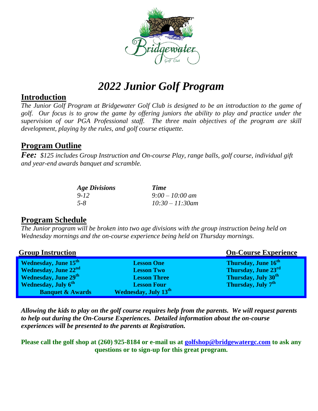

# *2022 Junior Golf Program*

#### **Introduction**

*The Junior Golf Program at Bridgewater Golf Club is designed to be an introduction to the game of golf. Our focus is to grow the game by offering juniors the ability to play and practice under the supervision of our PGA Professional staff. The three main objectives of the program are skill development, playing by the rules, and golf course etiquette.*

## **Program Outline**

*Fee: \$125 includes Group Instruction and On-course Play, range balls, golf course, individual gift and year-end awards banquet and scramble.*

| <b>Age Divisions</b> | Time               |
|----------------------|--------------------|
| $9 - 12$             | $9:00 - 10:00$ am  |
| $5 - 8$              | $10:30 - 11:30$ am |

### **Program Schedule**

*The Junior program will be broken into two age divisions with the group instruction being held on Wednesday mornings and the on-course experience being held on Thursday mornings.* 

| <b>Group Instruction</b>                |                             | <b>On-Course Experience</b>     |
|-----------------------------------------|-----------------------------|---------------------------------|
| <b>Wednesday, June 15th</b>             | <b>Lesson One</b>           | Thursday, June 16 <sup>th</sup> |
| <b>Wednesday, June 22nd</b>             | <b>Lesson Two</b>           | Thursday, June 23rd             |
| <b>Wednesday, June 29th</b>             | <b>Lesson Three</b>         | Thursday, July 30 <sup>th</sup> |
| <b>Wednesday</b> , July 6 <sup>th</sup> | <b>Lesson Four</b>          | Thursday, July 7 <sup>th</sup>  |
| <b>Banquet &amp; Awards</b>             | <b>Wednesday, July 13th</b> |                                 |

*Allowing the kids to play on the golf course requires help from the parents. We will request parents to help out during the On-Course Experiences. Detailed information about the on-course experiences will be presented to the parents at Registration.*

**Please call the golf shop at (260) 925-8184 or e-mail us at [golfshop@bridgewatergc.com](mailto:golfshop@bridgewatergc.com) to ask any questions or to sign-up for this great program.**